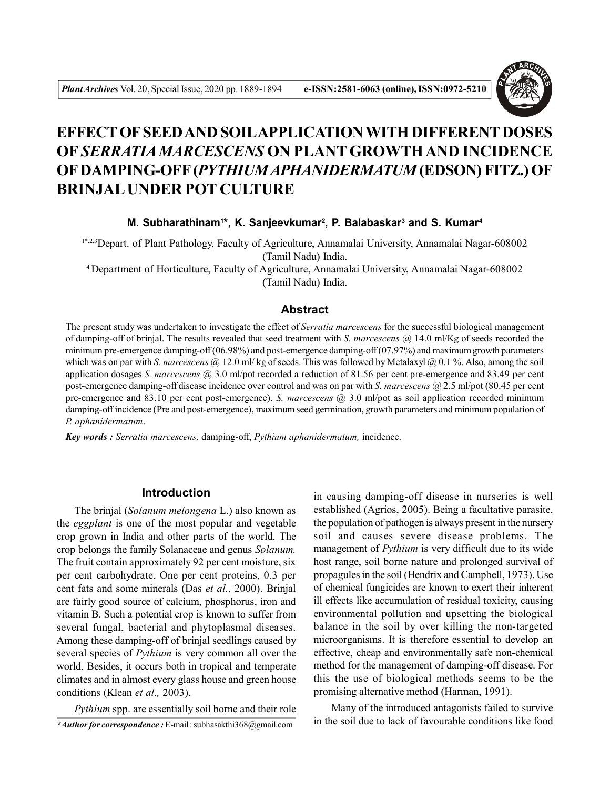

# **EFFECT OF SEED AND SOILAPPLICATION WITH DIFFERENT DOSES OF** *SERRATIA MARCESCENS* **ON PLANT GROWTH AND INCIDENCE OF DAMPING-OFF (***PYTHIUM APHANIDERMATUM* **(EDSON) FITZ.) OF BRINJAL UNDER POT CULTURE**

# **M. Subharathinam<sup>1</sup> \*, K. Sanjeevkumar<sup>2</sup> , P. Balabaskar<sup>3</sup> and S. Kumar<sup>4</sup>**

1\*,2,3Depart. of Plant Pathology, Faculty of Agriculture, Annamalai University, Annamalai Nagar-608002 (Tamil Nadu) India.

<sup>4</sup>Department of Horticulture, Faculty of Agriculture, Annamalai University, Annamalai Nagar-608002 (Tamil Nadu) India.

## **Abstract**

The present study was undertaken to investigate the effect of *Serratia marcescens* for the successful biological management of damping-off of brinjal. The results revealed that seed treatment with *S. marcescens* @ 14.0 ml/Kg of seeds recorded the minimum pre-emergence damping-off (06.98%) and post-emergence damping-off (07.97%) and maximum growth parameters which was on par with *S. marcescens* @ 12.0 ml/ kg of seeds. This was followed by Metalaxyl @ 0.1 %. Also, among the soil application dosages *S. marcescens* @ 3.0 ml/pot recorded a reduction of 81.56 per cent pre-emergence and 83.49 per cent post-emergence damping-off disease incidence over control and was on par with *S. marcescens* @ 2.5 ml/pot (80.45 per cent pre-emergence and 83.10 per cent post-emergence). *S. marcescens* @ 3.0 ml/pot as soil application recorded minimum damping-off incidence (Pre and post-emergence), maximum seed germination, growth parameters and minimum population of *P. aphanidermatum*.

*Key words : Serratia marcescens,* damping-off, *Pythium aphanidermatum,* incidence.

# **Introduction**

The brinjal (*Solanum melongena* L.) also known as the *eggplant* is one of the most popular and vegetable crop grown in India and other parts of the world. The crop belongs the family Solanaceae and genus *Solanum.* The fruit contain approximately 92 per cent moisture, six per cent carbohydrate, One per cent proteins, 0.3 per cent fats and some minerals (Das *et al.*, 2000). Brinjal are fairly good source of calcium, phosphorus, iron and vitamin B. Such a potential crop is known to suffer from several fungal, bacterial and phytoplasmal diseases. Among these damping-off of brinjal seedlings caused by several species of *Pythium* is very common all over the world. Besides, it occurs both in tropical and temperate climates and in almost every glass house and green house conditions (Klean *et al.,* 2003).

*\*Author for correspondence :* E-mail : subhasakthi368@gmail.com *Pythium* spp. are essentially soil borne and their role in causing damping-off disease in nurseries is well established (Agrios, 2005). Being a facultative parasite, the population of pathogen is always present in the nursery soil and causes severe disease problems. The management of *Pythium* is very difficult due to its wide host range, soil borne nature and prolonged survival of propagules in the soil (Hendrix and Campbell, 1973). Use of chemical fungicides are known to exert their inherent ill effects like accumulation of residual toxicity, causing environmental pollution and upsetting the biological balance in the soil by over killing the non-targeted microorganisms. It is therefore essential to develop an effective, cheap and environmentally safe non-chemical method for the management of damping-off disease. For this the use of biological methods seems to be the promising alternative method (Harman, 1991).

Many of the introduced antagonists failed to survive in the soil due to lack of favourable conditions like food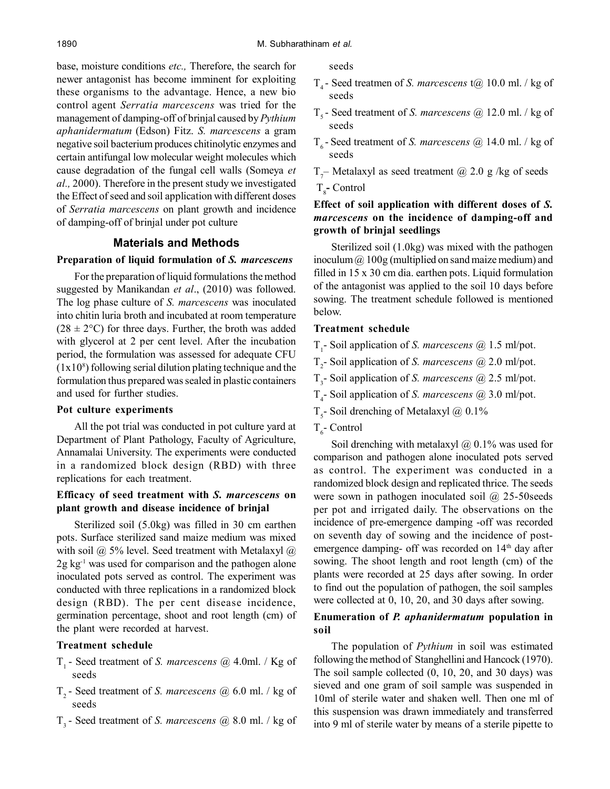base, moisture conditions *etc.,* Therefore, the search for newer antagonist has become imminent for exploiting these organisms to the advantage. Hence, a new bio control agent *Serratia marcescens* was tried for the management of damping-off of brinjal caused by *Pythium aphanidermatum* (Edson) Fitz. *S. marcescens* a gram negative soil bacterium produces chitinolytic enzymes and certain antifungal low molecular weight molecules which cause degradation of the fungal cell walls (Someya *et al.,* 2000). Therefore in the present study we investigated the Effect of seed and soil application with different doses of *Serratia marcescens* on plant growth and incidence of damping-off of brinjal under pot culture

# **Materials and Methods**

#### **Preparation of liquid formulation of** *S. marcescens*

For the preparation of liquid formulations the method suggested by Manikandan *et al*., (2010) was followed. The log phase culture of *S. marcescens* was inoculated into chitin luria broth and incubated at room temperature  $(28 \pm 2^{\circ}C)$  for three days. Further, the broth was added with glycerol at 2 per cent level. After the incubation period, the formulation was assessed for adequate CFU  $(1x10<sup>s</sup>)$  following serial dilution plating technique and the formulation thus prepared was sealed in plastic containers and used for further studies.

#### **Pot culture experiments**

All the pot trial was conducted in pot culture yard at Department of Plant Pathology, Faculty of Agriculture, Annamalai University. The experiments were conducted in a randomized block design (RBD) with three replications for each treatment.

#### **Efficacy of seed treatment with** *S. marcescens* **on plant growth and disease incidence of brinjal**

Sterilized soil (5.0kg) was filled in 30 cm earthen pots. Surface sterilized sand maize medium was mixed with soil  $\omega$  5% level. Seed treatment with Metalaxyl  $\omega$  $2g \text{ kg}^{-1}$  was used for comparison and the pathogen alone inoculated pots served as control. The experiment was conducted with three replications in a randomized block design (RBD). The per cent disease incidence, germination percentage, shoot and root length (cm) of the plant were recorded at harvest.

#### **Treatment schedule**

- T1 Seed treatment of *S. marcescens* @ 4.0ml. / Kg of seeds
- T2 Seed treatment of *S. marcescens* @ 6.0 ml. / kg of seeds
- T3 Seed treatment of *S. marcescens* @ 8.0 ml. / kg of

seeds

- T4 Seed treatmen of *S. marcescens* t@ 10.0 ml. / kg of seeds
- T5 Seed treatment of *S. marcescens* @ 12.0 ml. / kg of seeds
- T6 Seed treatment of *S. marcescens* @ 14.0 ml. / kg of seeds
- $T_{\tau}$  Metalaxyl as seed treatment @ 2.0 g /kg of seeds T<sub>8</sub> Control

## **Effect of soil application with different doses of** *S. marcescens* **on the incidence of damping-off and growth of brinjal seedlings**

Sterilized soil (1.0kg) was mixed with the pathogen inoculum @ 100g (multiplied on sand maize medium) and filled in 15 x 30 cm dia. earthen pots. Liquid formulation of the antagonist was applied to the soil 10 days before sowing. The treatment schedule followed is mentioned below.

## **Treatment schedule**

- T1 Soil application of *S. marcescens* @ 1.5 ml/pot.
- T2 Soil application of *S. marcescens* @ 2.0 ml/pot.
- T3 Soil application of *S. marcescens* @ 2.5 ml/pot.
- T4 Soil application of *S. marcescens* @ 3.0 ml/pot.
- $T_s$  Soil drenching of Metalaxyl @ 0.1%
- T<sub>6</sub>- Control

Soil drenching with metalaxyl  $\omega$  0.1% was used for comparison and pathogen alone inoculated pots served as control. The experiment was conducted in a randomized block design and replicated thrice. The seeds were sown in pathogen inoculated soil @ 25-50seeds per pot and irrigated daily. The observations on the incidence of pre-emergence damping -off was recorded on seventh day of sowing and the incidence of postemergence damping- off was recorded on 14<sup>th</sup> day after sowing. The shoot length and root length (cm) of the plants were recorded at 25 days after sowing. In order to find out the population of pathogen, the soil samples were collected at 0, 10, 20, and 30 days after sowing.

## **Enumeration of** *P. aphanidermatum* **population in soil**

The population of *Pythium* in soil was estimated following the method of Stanghellini and Hancock (1970). The soil sample collected (0, 10, 20, and 30 days) was sieved and one gram of soil sample was suspended in 10ml of sterile water and shaken well. Then one ml of this suspension was drawn immediately and transferred into 9 ml of sterile water by means of a sterile pipette to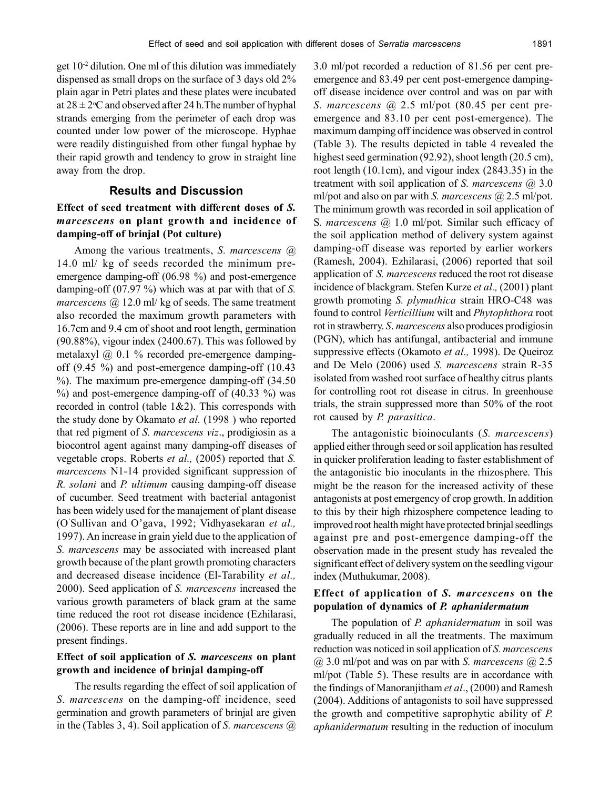get 10-2 dilution. One ml of this dilution was immediately dispensed as small drops on the surface of 3 days old 2% plain agar in Petri plates and these plates were incubated at  $28 \pm 2$ °C and observed after 24 h. The number of hyphal strands emerging from the perimeter of each drop was counted under low power of the microscope. Hyphae were readily distinguished from other fungal hyphae by their rapid growth and tendency to grow in straight line away from the drop.

#### **Results and Discussion**

# **Effect of seed treatment with different doses of** *S. marcescens* **on plant growth and incidence of damping-off of brinjal (Pot culture)**

Among the various treatments, *S. marcescens* @ 14.0 ml/ kg of seeds recorded the minimum preemergence damping-off (06.98 %) and post-emergence damping-off (07.97 %) which was at par with that of *S. marcescens* @ 12.0 ml/ kg of seeds. The same treatment also recorded the maximum growth parameters with 16.7cm and 9.4 cm of shoot and root length, germination (90.88%), vigour index (2400.67). This was followed by metalaxyl @ 0.1 % recorded pre-emergence dampingoff (9.45 %) and post-emergence damping-off (10.43 %). The maximum pre-emergence damping-off (34.50 %) and post-emergence damping-off of (40.33 %) was recorded in control (table 1&2). This corresponds with the study done by Okamato *et al.* (1998 ) who reported that red pigment of *S. marcescens viz*., prodigiosin as a biocontrol agent against many damping-off diseases of vegetable crops. Roberts *et al.,* (2005) reported that *S. marcescens* N1-14 provided significant suppression of *R. solani* and *P. ultimum* causing damping-off disease of cucumber. Seed treatment with bacterial antagonist has been widely used for the manajement of plant disease (O'Sullivan and O'gava, 1992; Vidhyasekaran *et al.,* 1997). An increase in grain yield due to the application of *S. marcescens* may be associated with increased plant growth because of the plant growth promoting characters and decreased disease incidence (El-Tarability *et al.,* 2000). Seed application of *S. marcescens* increased the various growth parameters of black gram at the same time reduced the root rot disease incidence (Ezhilarasi, (2006). These reports are in line and add support to the present findings.

### **Effect of soil application of** *S. marcescens* **on plant growth and incidence of brinjal damping-off**

The results regarding the effect of soil application of *S. marcescens* on the damping-off incidence, seed germination and growth parameters of brinjal are given in the (Tables 3, 4). Soil application of *S. marcescens* @

3.0 ml/pot recorded a reduction of 81.56 per cent preemergence and 83.49 per cent post-emergence dampingoff disease incidence over control and was on par with *S. marcescens* @ 2.5 ml/pot (80.45 per cent preemergence and 83.10 per cent post-emergence). The maximum damping off incidence was observed in control (Table 3). The results depicted in table 4 revealed the highest seed germination (92.92), shoot length (20.5 cm), root length (10.1cm), and vigour index (2843.35) in the treatment with soil application of *S. marcescens* @ 3.0 ml/pot and also on par with *S. marcescens* @ 2.5 ml/pot. The minimum growth was recorded in soil application of S*. marcescens* @ 1.0 ml/pot*.* Similar such efficacy of the soil application method of delivery system against damping-off disease was reported by earlier workers (Ramesh, 2004). Ezhilarasi, (2006) reported that soil application of *S. marcescens* reduced the root rot disease incidence of blackgram. Stefen Kurze *et al.,* (2001) plant growth promoting *S. plymuthica* strain HRO-C48 was found to control *Verticillium* wilt and *Phytophthora* root rot in strawberry. *S*. *marcescens* also produces prodigiosin (PGN), which has antifungal, antibacterial and immune suppressive effects (Okamoto *et al.,* 1998). De Queiroz and De Melo (2006) used *S. marcescens* strain R-35 isolated from washed root surface of healthy citrus plants for controlling root rot disease in citrus. In greenhouse trials, the strain suppressed more than 50% of the root rot caused by *P. parasitica*.

The antagonistic bioinoculants (*S. marcescens*) applied either through seed or soil application has resulted in quicker proliferation leading to faster establishment of the antagonistic bio inoculants in the rhizosphere. This might be the reason for the increased activity of these antagonists at post emergency of crop growth. In addition to this by their high rhizosphere competence leading to improved root health might have protected brinjal seedlings against pre and post-emergence damping-off the observation made in the present study has revealed the significant effect of delivery system on the seedling vigour index (Muthukumar, 2008).

## **Effect of application of** *S. marcescens* **on the population of dynamics of** *P. aphanidermatum*

The population of *P. aphanidermatum* in soil was gradually reduced in all the treatments. The maximum reduction was noticed in soil application of *S. marcescens* @ 3.0 ml/pot and was on par with *S. marcescens* @ 2.5 ml/pot (Table 5). These results are in accordance with the findings of Manoranjitham *et al*., (2000) and Ramesh (2004). Additions of antagonists to soil have suppressed the growth and competitive saprophytic ability of *P. aphanidermatum* resulting in the reduction of inoculum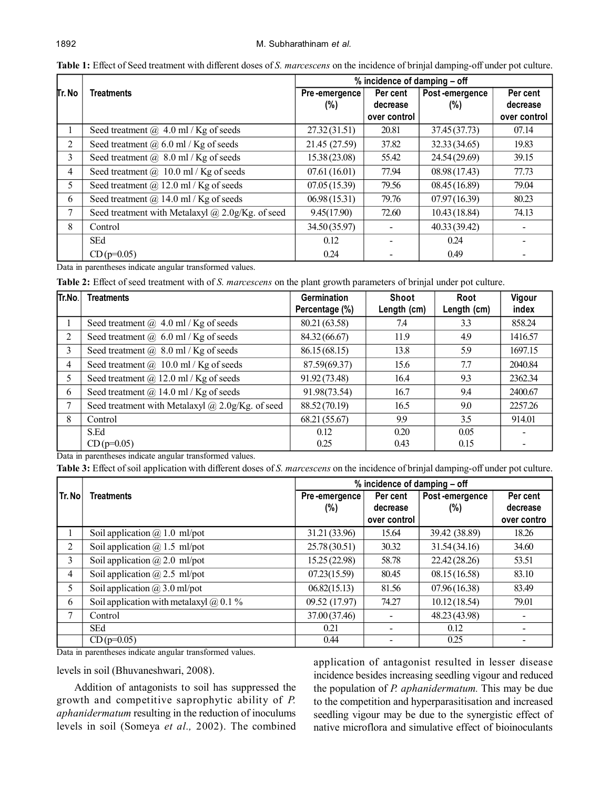|        | <b>Treatments</b>                                  | % incidence of damping – off |              |                |              |  |  |
|--------|----------------------------------------------------|------------------------------|--------------|----------------|--------------|--|--|
| Tr. No |                                                    | Pre-emergence                | Per cent     | Post-emergence | Per cent     |  |  |
|        |                                                    | $(\%)$                       | decrease     | $(\%)$         | decrease     |  |  |
|        |                                                    |                              | over control |                | over control |  |  |
|        | Seed treatment $\omega$ 4.0 ml / Kg of seeds       | 27.32(31.51)                 | 20.81        | 37.45 (37.73)  | 07.14        |  |  |
| 2      | Seed treatment $(a)$ 6.0 ml / Kg of seeds          | 21.45 (27.59)                | 37.82        | 32.33 (34.65)  | 19.83        |  |  |
| 3      | Seed treatment $(a)$ 8.0 ml / Kg of seeds          | 15.38(23.08)                 | 55.42        | 24.54 (29.69)  | 39.15        |  |  |
| 4      | Seed treatment $(a)$ 10.0 ml / Kg of seeds         | 07.61(16.01)                 | 77.94        | 08.98(17.43)   | 77.73        |  |  |
| 5      | Seed treatment $(a)$ 12.0 ml / Kg of seeds         | 07.05(15.39)                 | 79.56        | 08.45(16.89)   | 79.04        |  |  |
| 6      | Seed treatment $(a)$ 14.0 ml / Kg of seeds         | 06.98(15.31)                 | 79.76        | 07.97(16.39)   | 80.23        |  |  |
| 7      | Seed treatment with Metalaxyl $@$ 2.0g/Kg. of seed | 9.45(17.90)                  | 72.60        | 10.43(18.84)   | 74.13        |  |  |
| 8      | Control                                            | 34.50 (35.97)                |              | 40.33 (39.42)  |              |  |  |
|        | <b>SEd</b>                                         | 0.12                         |              | 0.24           |              |  |  |
|        | $CD(p=0.05)$                                       | 0.24                         |              | 0.49           |              |  |  |

**Table 1:** Effect of Seed treatment with different doses of *S. marcescens* on the incidence of brinjal damping-off under pot culture.

Data in parentheses indicate angular transformed values.

**Table 2:** Effect of seed treatment with of *S. marcescens* on the plant growth parameters of brinjal under pot culture.

| Tr.No. | <b>Treatments</b>                                       | <b>Germination</b> | <b>Shoot</b> | Root        | Vigour  |
|--------|---------------------------------------------------------|--------------------|--------------|-------------|---------|
|        |                                                         | Percentage (%)     | Length (cm)  | Length (cm) | index   |
|        | Seed treatment $\omega$ 4.0 ml / Kg of seeds            | 80.21 (63.58)      | 7.4          | 3.3         | 858.24  |
| 2      | Seed treatment $(a)$ 6.0 ml / Kg of seeds               | 84.32 (66.67)      | 11.9         | 4.9         | 1416.57 |
| 3      | Seed treatment $(a)$ 8.0 ml / Kg of seeds               | 86.15(68.15)       | 13.8         | 5.9         | 1697.15 |
| 4      | Seed treatment @ 10.0 ml / Kg of seeds                  | 87.59(69.37)       | 15.6         | 7.7         | 2040.84 |
| 5      | Seed treatment $(a)$ 12.0 ml / Kg of seeds              | 91.92 (73.48)      | 16.4         | 9.3         | 2362.34 |
| 6      | Seed treatment $(a)$ 14.0 ml / Kg of seeds              | 91.98(73.54)       | 16.7         | 9.4         | 2400.67 |
| 7      | Seed treatment with Metalaxyl $\omega$ 2.0g/Kg. of seed | 88.52 (70.19)      | 16.5         | 9.0         | 2257.26 |
| 8      | Control                                                 | 68.21 (55.67)      | 9.9          | 3.5         | 914.01  |
|        | S.Ed                                                    | 0.12               | 0.20         | 0.05        |         |
|        | $CD(p=0.05)$                                            | 0.25               | 0.43         | 0.15        |         |

Data in parentheses indicate angular transformed values.

**Table 3:** Effect of soil application with different doses of *S. marcescens* on the incidence of brinjal damping-off under pot culture.

|        | % incidence of damping - off                   |               |                          |                |                          |
|--------|------------------------------------------------|---------------|--------------------------|----------------|--------------------------|
| Tr. No | <b>Treatments</b>                              | Pre-emergence | Per cent                 | Post-emergence | Per cent                 |
|        |                                                | $(\%)$        | decrease                 | (%)            | decrease                 |
|        |                                                |               | over control             |                | over contro              |
|        | Soil application $\omega$ 1.0 ml/pot           | 31.21 (33.96) | 15.64                    | 39.42 (38.89)  | 18.26                    |
| 2      | Soil application $\omega$ 1.5 ml/pot           | 25.78 (30.51) | 30.32                    | 31.54(34.16)   | 34.60                    |
| 3      | Soil application $\omega$ 2.0 ml/pot           | 15.25(22.98)  | 58.78                    | 22.42 (28.26)  | 53.51                    |
| 4      | Soil application $\omega$ 2.5 ml/pot           | 07.23(15.59)  | 80.45                    | 08.15(16.58)   | 83.10                    |
| 5      | Soil application $\omega/3.0$ ml/pot           | 06.82(15.13)  | 81.56                    | 07.96(16.38)   | 83.49                    |
| 6      | Soil application with metalaxyl $\omega$ 0.1 % | 09.52 (17.97) | 74.27                    | 10.12(18.54)   | 79.01                    |
| 7      | Control                                        | 37.00 (37.46) |                          | 48.23 (43.98)  |                          |
|        | SEd                                            | 0.21          | $\blacksquare$           | 0.12           | $\overline{\phantom{a}}$ |
|        | $CD(p=0.05)$                                   | 0.44          | $\overline{\phantom{a}}$ | 0.25           |                          |

Data in parentheses indicate angular transformed values.

levels in soil (Bhuvaneshwari, 2008).

Addition of antagonists to soil has suppressed the growth and competitive saprophytic ability of *P. aphanidermatum* resulting in the reduction of inoculums levels in soil (Someya *et al.,* 2002). The combined application of antagonist resulted in lesser disease incidence besides increasing seedling vigour and reduced the population of *P. aphanidermatum.* This may be due to the competition and hyperparasitisation and increased seedling vigour may be due to the synergistic effect of native microflora and simulative effect of bioinoculants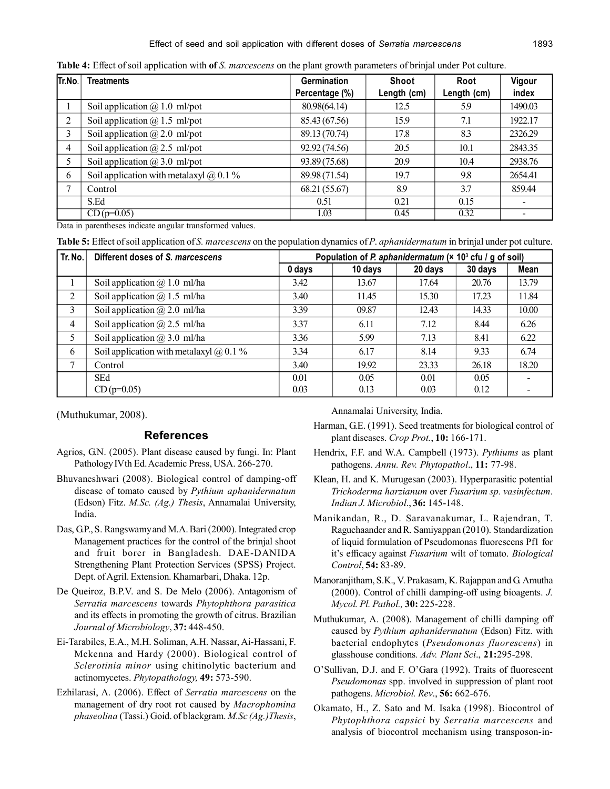| Tr.No. | Treatments                                     | <b>Germination</b><br>Percentage (%) | Shoot<br>Length (cm) | Root<br>Length (cm) | Vigour<br>index |
|--------|------------------------------------------------|--------------------------------------|----------------------|---------------------|-----------------|
|        | Soil application $\omega(0, 1.0)$ ml/pot       | 80.98(64.14)                         | 12.5                 | 5.9                 | 1490.03         |
| 2      | Soil application $\omega$ 1.5 ml/pot           | 85.43 (67.56)                        | 15.9                 | 7.1                 | 1922.17         |
| 3      | Soil application $\omega$ 2.0 ml/pot           | 89.13 (70.74)                        | 17.8                 | 8.3                 | 2326.29         |
| 4      | Soil application $\omega$ 2.5 ml/pot           | 92.92 (74.56)                        | 20.5                 | 10.1                | 2843.35         |
|        | Soil application $\omega$ 3.0 ml/pot           | 93.89 (75.68)                        | 20.9                 | 10.4                | 2938.76         |
| 6      | Soil application with metalaxyl $\omega$ 0.1 % | 89.98 (71.54)                        | 19.7                 | 9.8                 | 2654.41         |
| ⇁      | Control                                        | 68.21 (55.67)                        | 8.9                  | 3.7                 | 859.44          |
|        | S.Ed                                           | 0.51                                 | 0.21                 | 0.15                |                 |
|        | $CD (p=0.05)$                                  | 1.03                                 | 0.45                 | 0.32                |                 |

**Table 4:** Effect of soil application with **of** *S. marcescens* on the plant growth parameters of brinjal under Pot culture.

Data in parentheses indicate angular transformed values.

**Table 5:** Effect of soil application of *S. marcescens* on the population dynamics of *P*. *aphanidermatum* in brinjal under pot culture.

| Tr. No. | Different doses of S. marcescens              | Population of P. aphanidermatum ( $\times$ 10 <sup>3</sup> cfu / g of soil) |         |         |         |       |
|---------|-----------------------------------------------|-----------------------------------------------------------------------------|---------|---------|---------|-------|
|         |                                               | 0 days                                                                      | 10 days | 20 days | 30 days | Mean  |
|         | Soil application $\omega$ 1.0 ml/ha           | 3.42                                                                        | 13.67   | 17.64   | 20.76   | 13.79 |
| 2       | Soil application $\omega$ 1.5 ml/ha           | 3.40                                                                        | 11.45   | 15.30   | 17.23   | 11.84 |
| 3       | Soil application $\omega$ 2.0 ml/ha           | 3.39                                                                        | 09.87   | 12.43   | 14.33   | 10.00 |
| 4       | Soil application $\omega$ 2.5 ml/ha           | 3.37                                                                        | 6.11    | 7.12    | 8.44    | 6.26  |
| 5       | Soil application $\omega(2)$ 3.0 ml/ha        | 3.36                                                                        | 5.99    | 7.13    | 8.41    | 6.22  |
| 6       | Soil application with metalaxyl $\omega$ 0.1% | 3.34                                                                        | 6.17    | 8.14    | 9.33    | 6.74  |
|         | Control                                       | 3.40                                                                        | 19.92   | 23.33   | 26.18   | 18.20 |
|         | <b>SEd</b>                                    | 0.01                                                                        | 0.05    | 0.01    | 0.05    |       |
|         | $CD(p=0.05)$                                  | 0.03                                                                        | 0.13    | 0.03    | 0.12    |       |

(Muthukumar, 2008).

#### **References**

- Agrios, G.N. (2005). Plant disease caused by fungi. In: Plant Pathology IVth Ed. Academic Press, USA. 266-270.
- Bhuvaneshwari (2008). Biological control of damping-off disease of tomato caused by *Pythium aphanidermatum* (Edson) Fitz. *M.Sc. (Ag.) Thesis*, Annamalai University, India.
- Das, G.P., S. Rangswamy and M.A. Bari (2000). Integrated crop Management practices for the control of the brinjal shoot and fruit borer in Bangladesh. DAE-DANIDA Strengthening Plant Protection Services (SPSS) Project. Dept. of Agril. Extension. Khamarbari, Dhaka. 12p.
- De Queiroz, B.P.V. and S. De Melo (2006). Antagonism of *Serratia marcescens* towards *Phytophthora parasitica* and its effects in promoting the growth of citrus. Brazilian *Journal of Microbiology*, **37:** 448-450.
- Ei-Tarabiles, E.A., M.H. Soliman, A.H. Nassar, Ai-Hassani, F. Mckenna and Hardy (2000). Biological control of *Sclerotinia minor* using chitinolytic bacterium and actinomycetes. *Phytopathology,* **49:** 573-590.
- Ezhilarasi, A. (2006). Effect of *Serratia marcescens* on the management of dry root rot caused by *Macrophomina phaseolina* (Tassi.) Goid. of blackgram. *M.Sc (Ag.)Thesis*,

Annamalai University, India.

- Harman, G.E. (1991). Seed treatments for biological control of plant diseases. *Crop Prot.*, **10:** 166-171.
- Hendrix, F.F. and W.A. Campbell (1973). *Pythiums* as plant pathogens. *Annu. Rev. Phytopathol*., **11:** 77-98.
- Klean, H. and K. Murugesan (2003). Hyperparasitic potential *Trichoderma harzianum* over *Fusarium sp. vasinfectum*. *Indian J. Microbiol*., **36:** 145-148.
- Manikandan, R., D. Saravanakumar, L. Rajendran, T. Raguchaander and R. Samiyappan (2010). Standardization of liquid formulation of Pseudomonas fluorescens Pf1 for it's efficacy against *Fusarium* wilt of tomato. *Biological Control*, **54:** 83-89.
- Manoranjitham, S.K., V. Prakasam, K. Rajappan and G. Amutha (2000). Control of chilli damping-off using bioagents. *J. Mycol. Pl. Pathol.,* **30:** 225-228.
- Muthukumar, A. (2008). Management of chilli damping off caused by *Pythium aphanidermatum* (Edson) Fitz. with bacterial endophytes (*Pseudomonas fluorescens*) in glasshouse conditions*. Adv. Plant Sci*., **21:**295-298.
- O'Sullivan, D.J. and F. O'Gara (1992). Traits of fluorescent *Pseudomonas* spp. involved in suppression of plant root pathogens. *Microbiol. Rev*., **56:** 662-676.
- Okamato, H., Z. Sato and M. Isaka (1998). Biocontrol of *Phytophthora capsici* by *Serratia marcescens* and analysis of biocontrol mechanism using transposon-in-